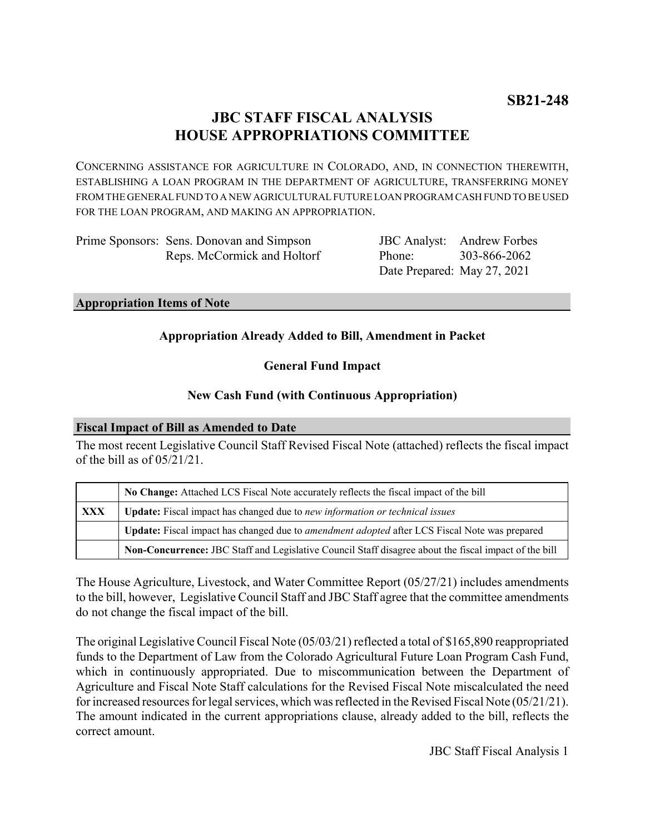# **JBC STAFF FISCAL ANALYSIS HOUSE APPROPRIATIONS COMMITTEE**

CONCERNING ASSISTANCE FOR AGRICULTURE IN COLORADO, AND, IN CONNECTION THEREWITH, ESTABLISHING A LOAN PROGRAM IN THE DEPARTMENT OF AGRICULTURE, TRANSFERRING MONEY FROM THE GENERAL FUND TO A NEW AGRICULTURAL FUTURE LOAN PROGRAM CASH FUND TO BE USED FOR THE LOAN PROGRAM, AND MAKING AN APPROPRIATION.

| Prime Sponsors: Sens. Donovan and Simpson |
|-------------------------------------------|
| Reps. McCormick and Holtorf               |

JBC Analyst: Andrew Forbes Phone: Date Prepared: May 27, 2021 303-866-2062

### **Appropriation Items of Note**

# **Appropriation Already Added to Bill, Amendment in Packet**

# **General Fund Impact**

# **New Cash Fund (with Continuous Appropriation)**

# **Fiscal Impact of Bill as Amended to Date**

The most recent Legislative Council Staff Revised Fiscal Note (attached) reflects the fiscal impact of the bill as of 05/21/21.

|            | No Change: Attached LCS Fiscal Note accurately reflects the fiscal impact of the bill                       |  |
|------------|-------------------------------------------------------------------------------------------------------------|--|
| <b>XXX</b> | Update: Fiscal impact has changed due to new information or technical issues                                |  |
|            | <b>Update:</b> Fiscal impact has changed due to <i>amendment adopted</i> after LCS Fiscal Note was prepared |  |
|            | Non-Concurrence: JBC Staff and Legislative Council Staff disagree about the fiscal impact of the bill       |  |

The House Agriculture, Livestock, and Water Committee Report (05/27/21) includes amendments to the bill, however, Legislative Council Staff and JBC Staff agree that the committee amendments do not change the fiscal impact of the bill.

The original Legislative Council Fiscal Note (05/03/21) reflected a total of \$165,890 reappropriated funds to the Department of Law from the Colorado Agricultural Future Loan Program Cash Fund, which in continuously appropriated. Due to miscommunication between the Department of Agriculture and Fiscal Note Staff calculations for the Revised Fiscal Note miscalculated the need for increased resources for legal services, which was reflected in the Revised Fiscal Note (05/21/21). The amount indicated in the current appropriations clause, already added to the bill, reflects the correct amount.